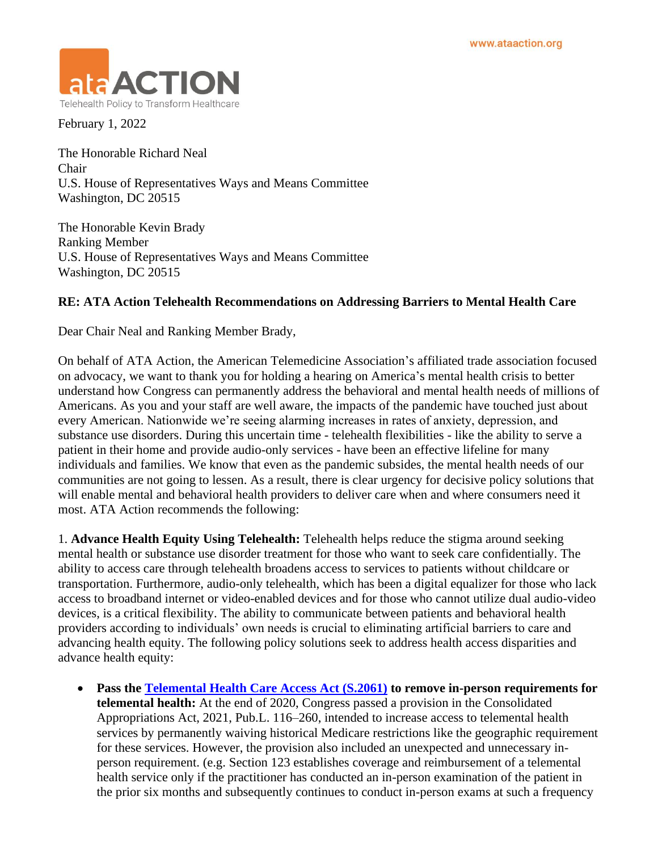

February 1, 2022

The Honorable Richard Neal Chair U.S. House of Representatives Ways and Means Committee Washington, DC 20515

The Honorable Kevin Brady Ranking Member U.S. House of Representatives Ways and Means Committee Washington, DC 20515

## **RE: ATA Action Telehealth Recommendations on Addressing Barriers to Mental Health Care**

Dear Chair Neal and Ranking Member Brady,

On behalf of ATA Action, the American Telemedicine Association's affiliated trade association focused on advocacy, we want to thank you for holding a hearing on America's mental health crisis to better understand how Congress can permanently address the behavioral and mental health needs of millions of Americans. As you and your staff are well aware, the impacts of the pandemic have touched just about every American. Nationwide we're seeing alarming increases in rates of anxiety, depression, and substance use disorders. During this uncertain time - telehealth flexibilities - like the ability to serve a patient in their home and provide audio-only services - have been an effective lifeline for many individuals and families. We know that even as the pandemic subsides, the mental health needs of our communities are not going to lessen. As a result, there is clear urgency for decisive policy solutions that will enable mental and behavioral health providers to deliver care when and where consumers need it most. ATA Action recommends the following:

1. **Advance Health Equity Using Telehealth:** Telehealth helps reduce the stigma around seeking mental health or substance use disorder treatment for those who want to seek care confidentially. The ability to access care through telehealth broadens access to services to patients without childcare or transportation. Furthermore, audio-only telehealth, which has been a digital equalizer for those who lack access to broadband internet or video-enabled devices and for those who cannot utilize dual audio-video devices, is a critical flexibility. The ability to communicate between patients and behavioral health providers according to individuals' own needs is crucial to eliminating artificial barriers to care and advancing health equity. The following policy solutions seek to address health access disparities and advance health equity:

• **Pass the [Telemental Health Care Access Act \(S.2061\)](https://www.congress.gov/bill/117th-congress/senate-bill/2061?q=%7B%22search%22%3A%5B%22telemental+health+access%22%2C%22telemental%22%2C%22health%22%2C%22access%22%5D%7D&s=1&r=1) to remove in-person requirements for telemental health:** At the end of 2020, Congress passed a provision in the Consolidated Appropriations Act, 2021, Pub.L. 116–260, intended to increase access to telemental health services by permanently waiving historical Medicare restrictions like the geographic requirement for these services. However, the provision also included an unexpected and unnecessary inperson requirement. (e.g. Section 123 establishes coverage and reimbursement of a telemental health service only if the practitioner has conducted an in-person examination of the patient in the prior six months and subsequently continues to conduct in-person exams at such a frequency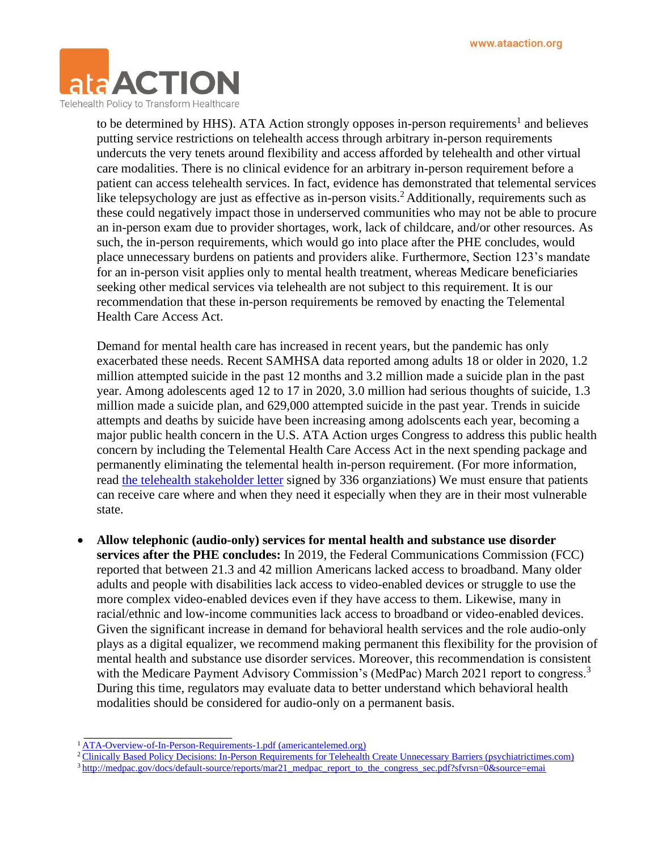

to be determined by HHS). ATA Action strongly opposes in-person requirements<sup>1</sup> and believes putting service restrictions on telehealth access through arbitrary in-person requirements undercuts the very tenets around flexibility and access afforded by telehealth and other virtual care modalities. There is no clinical evidence for an arbitrary in-person requirement before a patient can access telehealth services. In fact, evidence has demonstrated that telemental services like telepsychology are just as effective as in-person visits.<sup>2</sup> Additionally, requirements such as these could negatively impact those in underserved communities who may not be able to procure an in-person exam due to provider shortages, work, lack of childcare, and/or other resources. As such, the in-person requirements, which would go into place after the PHE concludes, would place unnecessary burdens on patients and providers alike. Furthermore, Section 123's mandate for an in-person visit applies only to mental health treatment, whereas Medicare beneficiaries seeking other medical services via telehealth are not subject to this requirement. It is our recommendation that these in-person requirements be removed by enacting the Telemental Health Care Access Act.

Demand for mental health care has increased in recent years, but the pandemic has only exacerbated these needs. Recent SAMHSA data reported among adults 18 or older in 2020, 1.2 million attempted suicide in the past 12 months and 3.2 million made a suicide plan in the past year. Among adolescents aged 12 to 17 in 2020, 3.0 million had serious thoughts of suicide, 1.3 million made a suicide plan, and 629,000 attempted suicide in the past year. Trends in suicide attempts and deaths by suicide have been increasing among adolscents each year, becoming a major public health concern in the U.S. ATA Action urges Congress to address this public health concern by including the Telemental Health Care Access Act in the next spending package and permanently eliminating the telemental health in-person requirement. (For more information, read the telehealth [stakeholder letter](https://www.americantelemed.org/wp-content/uploads/2022/01/Telehealth-Pathway-to-Reform-Letter-to-Congress-w-signers-FIN.pdf) signed by 336 organziations) We must ensure that patients can receive care where and when they need it especially when they are in their most vulnerable state.

• **Allow telephonic (audio-only) services for mental health and substance use disorder services after the PHE concludes:** In 2019, the Federal Communications Commission (FCC) reported that between 21.3 and 42 million Americans lacked access to broadband. Many older adults and people with disabilities lack access to video-enabled devices or struggle to use the more complex video-enabled devices even if they have access to them. Likewise, many in racial/ethnic and low-income communities lack access to broadband or video-enabled devices. Given the significant increase in demand for behavioral health services and the role audio-only plays as a digital equalizer, we recommend making permanent this flexibility for the provision of mental health and substance use disorder services. Moreover, this recommendation is consistent with the Medicare Payment Advisory Commission's (MedPac) March 2021 report to congress.<sup>3</sup> During this time, regulators may evaluate data to better understand which behavioral health modalities should be considered for audio-only on a permanent basis.

 $\overline{\phantom{a}}$  , which is a set of the set of the set of the set of the set of the set of the set of the set of the set of the set of the set of the set of the set of the set of the set of the set of the set of the set of th

- <sup>2</sup>[Clinically Based Policy Decisions: In-Person Requirements for Telehealth Create Unnecessary Barriers \(psychiatrictimes.com\)](https://www.psychiatrictimes.com/view/clinically-based-policy-decisions-inperson-requirements-for-telehealth-barriers)
- <sup>3</sup> [http://medpac.gov/docs/default-source/reports/mar21\\_medpac\\_report\\_to\\_the\\_congress\\_sec.pdf?sfvrsn=0&source=emai](http://medpac.gov/docs/default-source/reports/mar21_medpac_report_to_the_congress_sec.pdf?sfvrsn=0&source=emai)

<sup>&</sup>lt;sup>1</sup> [ATA-Overview-of-In-Person-Requirements-1.pdf \(americantelemed.org\)](https://www.americantelemed.org/wp-content/uploads/2021/06/ATA-Overview-of-In-Person-Requirements-1.pdf)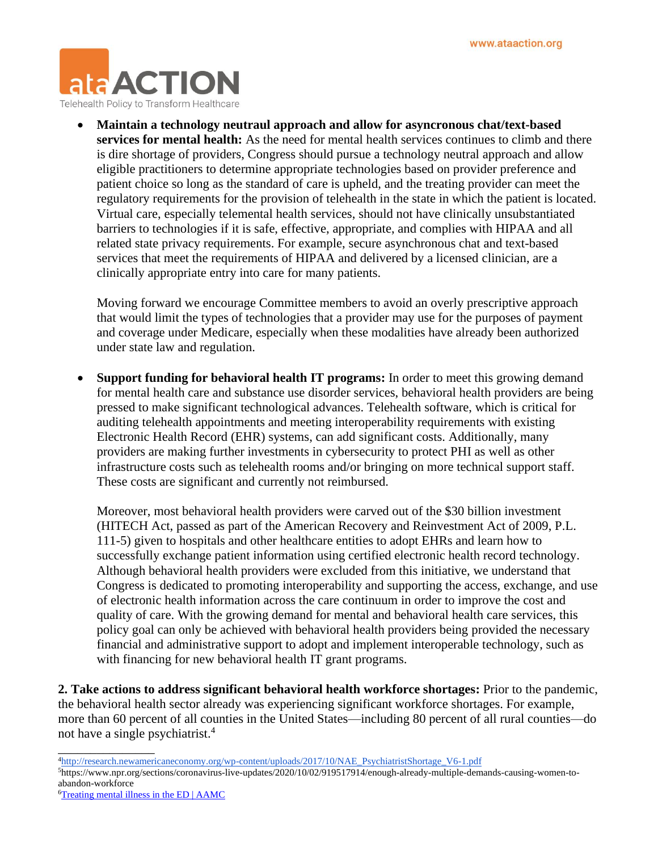

• **Maintain a technology neutraul approach and allow for asyncronous chat/text-based services for mental health:** As the need for mental health services continues to climb and there is dire shortage of providers, Congress should pursue a technology neutral approach and allow eligible practitioners to determine appropriate technologies based on provider preference and patient choice so long as the standard of care is upheld, and the treating provider can meet the regulatory requirements for the provision of telehealth in the state in which the patient is located. Virtual care, especially telemental health services, should not have clinically unsubstantiated barriers to technologies if it is safe, effective, appropriate, and complies with HIPAA and all related state privacy requirements. For example, secure asynchronous chat and text-based services that meet the requirements of HIPAA and delivered by a licensed clinician, are a clinically appropriate entry into care for many patients.

Moving forward we encourage Committee members to avoid an overly prescriptive approach that would limit the types of technologies that a provider may use for the purposes of payment and coverage under Medicare, especially when these modalities have already been authorized under state law and regulation.

• **Support funding for behavioral health IT programs:** In order to meet this growing demand for mental health care and substance use disorder services, behavioral health providers are being pressed to make significant technological advances. Telehealth software, which is critical for auditing telehealth appointments and meeting interoperability requirements with existing Electronic Health Record (EHR) systems, can add significant costs. Additionally, many providers are making further investments in cybersecurity to protect PHI as well as other infrastructure costs such as telehealth rooms and/or bringing on more technical support staff. These costs are significant and currently not reimbursed.

Moreover, most behavioral health providers were carved out of the \$30 billion investment (HITECH Act, passed as part of the American Recovery and Reinvestment Act of 2009, P.L. 111-5) given to hospitals and other healthcare entities to adopt EHRs and learn how to successfully exchange patient information using certified electronic health record technology. Although behavioral health providers were excluded from this initiative, we understand that Congress is dedicated to promoting interoperability and supporting the access, exchange, and use of electronic health information across the care continuum in order to improve the cost and quality of care. With the growing demand for mental and behavioral health care services, this policy goal can only be achieved with behavioral health providers being provided the necessary financial and administrative support to adopt and implement interoperable technology, such as with financing for new behavioral health IT grant programs.

**2. Take actions to address significant behavioral health workforce shortages:** Prior to the pandemic, the behavioral health sector already was experiencing significant workforce shortages. For example, more than 60 percent of all counties in the United States—including 80 percent of all rural counties—do not have a single psychiatrist.<sup>4</sup>

- <sup>4</sup>http://research.newamericaneconomy.org/wp-content/uploads/2017/10/NAE\_PsychiatristShortage\_V6-1.pdf 5https://www.npr.org/sections/coronavirus-live-updates/2020/10/02/919517914/enough-already-multiple-demands-causing-women-to-
- abandon-workforce

\_\_\_\_\_\_\_\_\_\_\_\_\_\_\_

6[Treating mental illness in the ED | AAMC](https://www.aamc.org/news-insights/treating-mental-illness-ed#:~:text=According%20to%20one%20study%20of%20psychiatrists%E2%80%99%20availability%20in,in%20five%20psychiatrists%20were%20not%20accepting%20new%20patients.)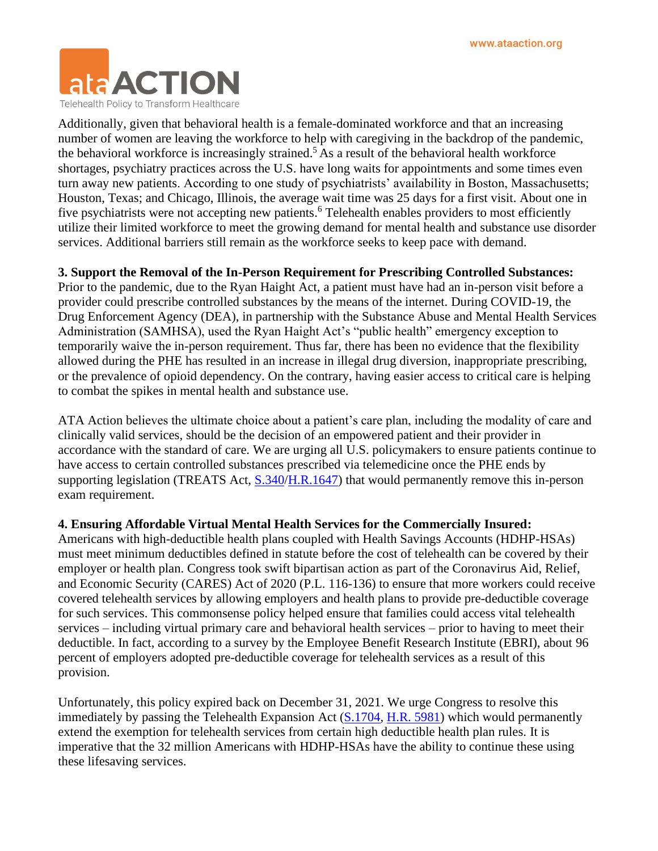

Additionally, given that behavioral health is a female-dominated workforce and that an increasing number of women are leaving the workforce to help with caregiving in the backdrop of the pandemic, the behavioral workforce is increasingly strained.<sup>5</sup> As a result of the behavioral health workforce shortages, psychiatry practices across the U.S. have long waits for appointments and some times even turn away new patients. According to one study of psychiatrists' availability in Boston, Massachusetts; Houston, Texas; and Chicago, Illinois, the average wait time was 25 days for a first visit. About one in five psychiatrists were not accepting new patients.<sup>6</sup> Telehealth enables providers to most efficiently utilize their limited workforce to meet the growing demand for mental health and substance use disorder services. Additional barriers still remain as the workforce seeks to keep pace with demand.

## **3. Support the Removal of the In-Person Requirement for Prescribing Controlled Substances:**

Prior to the pandemic, due to the Ryan Haight Act, a patient must have had an in-person visit before a provider could prescribe controlled substances by the means of the internet. During COVID-19, the Drug Enforcement Agency (DEA), in partnership with the Substance Abuse and Mental Health Services Administration (SAMHSA), used the Ryan Haight Act's "public health" emergency exception to temporarily waive the in-person requirement. Thus far, there has been no evidence that the flexibility allowed during the PHE has resulted in an increase in illegal drug diversion, inappropriate prescribing, or the prevalence of opioid dependency. On the contrary, having easier access to critical care is helping to combat the spikes in mental health and substance use.

ATA Action believes the ultimate choice about a patient's care plan, including the modality of care and clinically valid services, should be the decision of an empowered patient and their provider in accordance with the standard of care. We are urging all U.S. policymakers to ensure patients continue to have access to certain controlled substances prescribed via telemedicine once the PHE ends by supporting legislation (TREATS Act, [S.340/](https://www.congress.gov/bill/117th-congress/senate-bill/340/text?q=%7B%22search%22%3A%5B%22TREATS%22%5D%7D&r=7&s=6)[H.R.1647\)](https://www.congress.gov/bill/117th-congress/house-bill/1647?q=%7B%22search%22%3A%5B%22HR+1647%22%2C%22HR%22%2C%221647%22%5D%7D&s=1&r=1) that would permanently remove this in-person exam requirement.

## **4. Ensuring Affordable Virtual Mental Health Services for the Commercially Insured:**

Americans with high-deductible health plans coupled with Health Savings Accounts (HDHP-HSAs) must meet minimum deductibles defined in statute before the cost of telehealth can be covered by their employer or health plan. Congress took swift bipartisan action as part of the Coronavirus Aid, Relief, and Economic Security (CARES) Act of 2020 (P.L. 116-136) to ensure that more workers could receive covered telehealth services by allowing employers and health plans to provide pre-deductible coverage for such services. This commonsense policy helped ensure that families could access vital telehealth services – including virtual primary care and behavioral health services – prior to having to meet their deductible. In fact, according to a survey by the Employee Benefit Research Institute (EBRI), about 96 percent of employers adopted pre-deductible coverage for telehealth services as a result of this provision.

Unfortunately, this policy expired back on December 31, 2021. We urge Congress to resolve this immediately by passing the Telehealth Expansion Act [\(S.1704,](https://www.congress.gov/bill/117th-congress/senate-bill/1704) [H.R. 5981\)](https://www.congress.gov/bill/117th-congress/house-bill/5981/cosponsors?q=%7B%22search%22%3A%5B%22HR+5981%22%2C%22HR%22%2C%225981%22%5D%7D&r=1&s=2) which would permanently extend the exemption for telehealth services from certain high deductible health plan rules. It is imperative that the 32 million Americans with HDHP-HSAs have the ability to continue these using these lifesaving services.